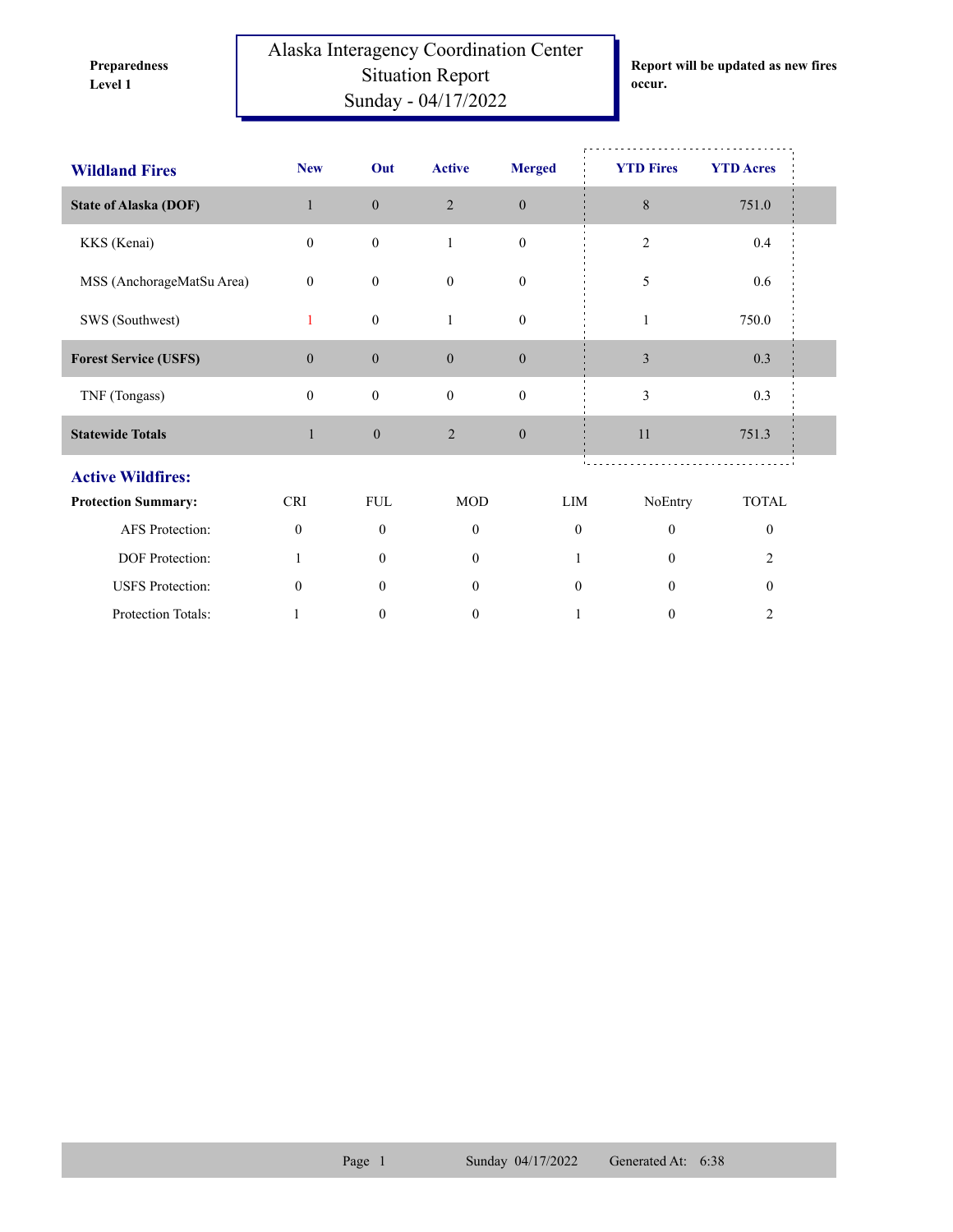**Preparedness** 

Alaska Interagency Coordination Center Situation Report **Level 1 occur.** Sunday - 04/17/2022

**Report will be updated as new fires** 

| <b>Wildland Fires</b>        | <b>New</b>       | Out              | <b>Active</b>    | <b>Merged</b>    | <b>YTD Fires</b> | <b>YTD Acres</b> |  |  |  |
|------------------------------|------------------|------------------|------------------|------------------|------------------|------------------|--|--|--|
| <b>State of Alaska (DOF)</b> | $\mathbf{1}$     | $\boldsymbol{0}$ | $\overline{2}$   | $\boldsymbol{0}$ | 8                | 751.0            |  |  |  |
| KKS (Kenai)                  | $\boldsymbol{0}$ | $\boldsymbol{0}$ | $\mathbf{1}$     | $\boldsymbol{0}$ | $\mathbf{2}$     | $0.4\,$          |  |  |  |
| MSS (AnchorageMatSu Area)    | $\mathbf{0}$     | $\boldsymbol{0}$ | $\mathbf{0}$     | $\boldsymbol{0}$ | 5                | 0.6              |  |  |  |
| SWS (Southwest)              | 1                | $\boldsymbol{0}$ | 1                | $\boldsymbol{0}$ | 1                | 750.0            |  |  |  |
| <b>Forest Service (USFS)</b> | $\boldsymbol{0}$ | $\mathbf{0}$     | $\boldsymbol{0}$ | $\boldsymbol{0}$ | $\mathfrak{Z}$   | 0.3              |  |  |  |
| TNF (Tongass)                | $\mathbf{0}$     | $\boldsymbol{0}$ | $\mathbf{0}$     | $\boldsymbol{0}$ | $\mathfrak{Z}$   | 0.3              |  |  |  |
| <b>Statewide Totals</b>      | $\mathbf{1}$     | $\boldsymbol{0}$ | $\overline{2}$   | $\boldsymbol{0}$ | 11               | 751.3            |  |  |  |
| <b>Active Wildfires:</b>     |                  |                  |                  |                  |                  |                  |  |  |  |
| <b>Protection Summary:</b>   | <b>CRI</b>       | <b>FUL</b>       | <b>MOD</b>       | LIM              | NoEntry          | <b>TOTAL</b>     |  |  |  |
| <b>AFS</b> Protection:       | $\mathbf{0}$     | $\mathbf{0}$     | $\mathbf{0}$     | $\mathbf{0}$     | $\mathbf{0}$     | $\mathbf{0}$     |  |  |  |
| DOF Protection:              |                  | $\theta$         | $\theta$         |                  | $\theta$         | $\overline{2}$   |  |  |  |
| <b>USFS</b> Protection:      | $\mathbf{0}$     | $\theta$         | $\overline{0}$   | $\mathbf{0}$     | $\theta$         | $\mathbf{0}$     |  |  |  |
| Protection Totals:           |                  | $\boldsymbol{0}$ | $\mathbf{0}$     | 1                | $\mathbf{0}$     | $\overline{2}$   |  |  |  |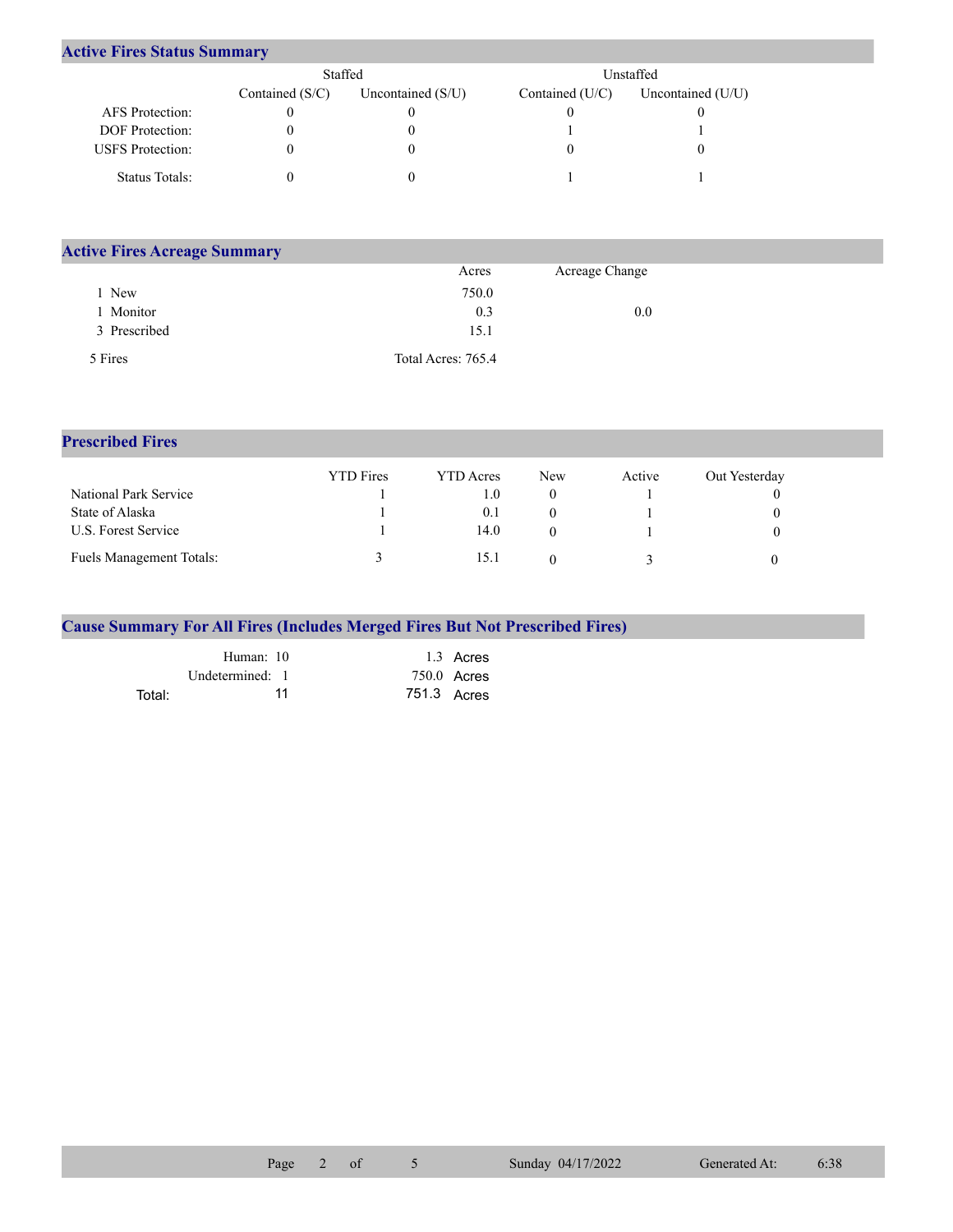## **Active Fires Status Summary**

|                         | Staffed           |                     | Unstaffed I     |                     |  |
|-------------------------|-------------------|---------------------|-----------------|---------------------|--|
|                         | Contained $(S/C)$ | Uncontained $(S/U)$ | Contained (U/C) | Uncontained $(U/U)$ |  |
| AFS Protection:         |                   |                     |                 |                     |  |
| <b>DOF</b> Protection:  |                   |                     |                 |                     |  |
| <b>USFS</b> Protection: |                   |                     |                 |                     |  |
| Status Totals:          |                   |                     |                 |                     |  |

| <b>Active Fires Acreage Summary</b> |                    |                |  |  |  |  |
|-------------------------------------|--------------------|----------------|--|--|--|--|
|                                     | Acres              | Acreage Change |  |  |  |  |
| New                                 | 750.0              |                |  |  |  |  |
| Monitor                             | 0.3                | 0.0            |  |  |  |  |
| 3 Prescribed                        | 15.1               |                |  |  |  |  |
| 5 Fires                             | Total Acres: 765.4 |                |  |  |  |  |

## **Prescribed Fires**

|                                 | <b>YTD</b> Fires | YTD Acres | <b>New</b> | Active | Out Yesterday |
|---------------------------------|------------------|-----------|------------|--------|---------------|
| National Park Service           |                  | L.O       |            |        |               |
| State of Alaska                 |                  | 0.1       |            |        |               |
| U.S. Forest Service             |                  | 14.0      |            |        |               |
| <b>Fuels Management Totals:</b> |                  | 15.1      |            |        |               |

|  |  |  |  | <b>Cause Summary For All Fires (Includes Merged Fires But Not Prescribed Fires)</b> |  |
|--|--|--|--|-------------------------------------------------------------------------------------|--|
|  |  |  |  |                                                                                     |  |

|        | Human: 10       | 1.3 Acres     |
|--------|-----------------|---------------|
|        | Undetermined: 1 | $750.0$ Acres |
| Total: | 11              | 751.3 Acres   |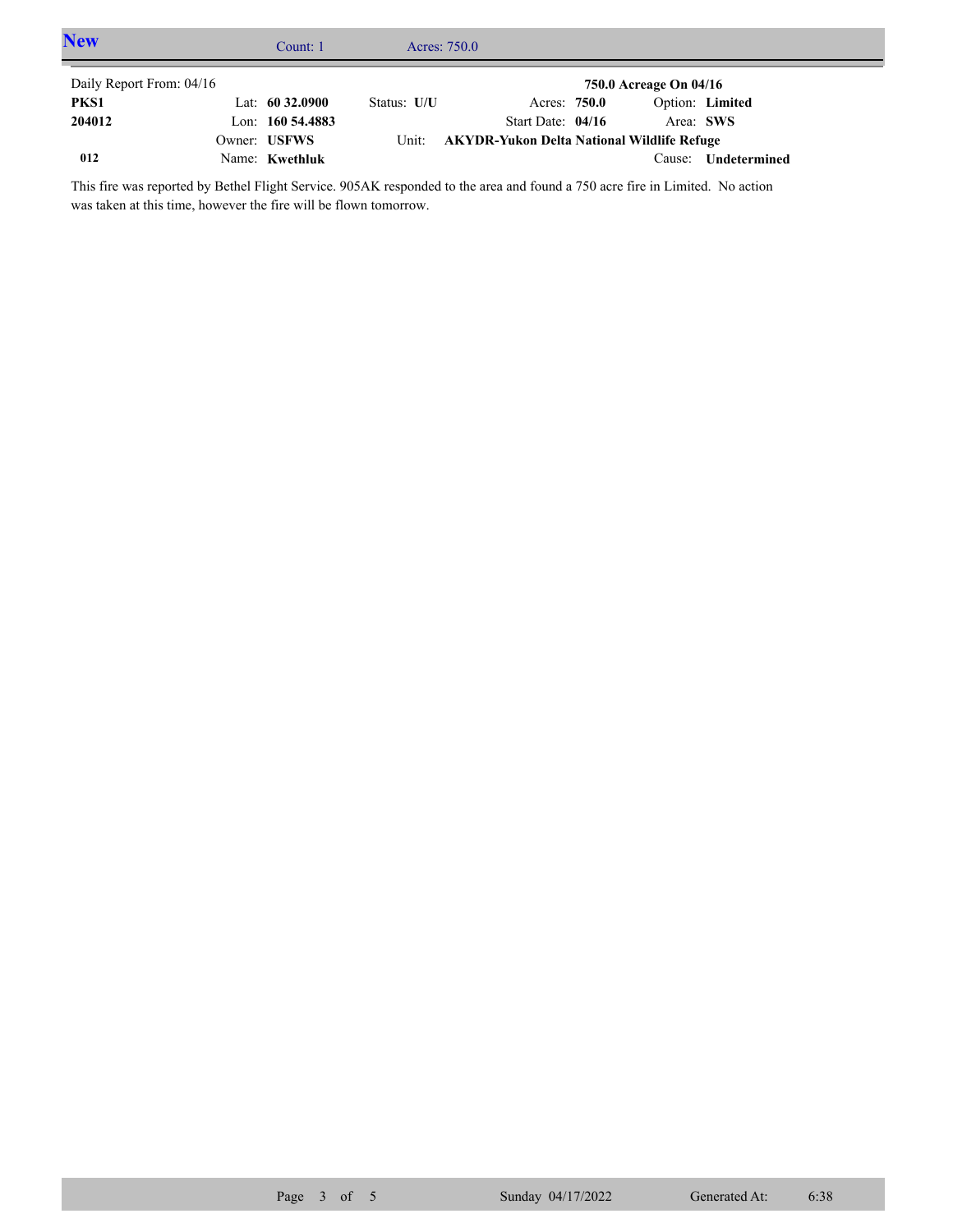| <b>New</b>               | Count: 1            |             | Acres: 750.0                               |                        |                 |  |
|--------------------------|---------------------|-------------|--------------------------------------------|------------------------|-----------------|--|
| Daily Report From: 04/16 |                     |             |                                            | 750.0 Acreage On 04/16 |                 |  |
| PKS1                     | Lat: $60\,32.0900$  | Status: U/U | Acres: 750.0                               |                        | Option: Limited |  |
| 204012                   | Lon: $160\,54.4883$ |             | Start Date: $04/16$                        | Area: SWS              |                 |  |
|                          | Owner: USFWS        | Unit:       | AKYDR-Yukon Delta National Wildlife Refuge |                        |                 |  |
| 012                      | Name: Kwethluk      |             |                                            | Cause:                 | Undetermined    |  |

This fire was reported by Bethel Flight Service. 905AK responded to the area and found a 750 acre fire in Limited. No action was taken at this time, however the fire will be flown tomorrow.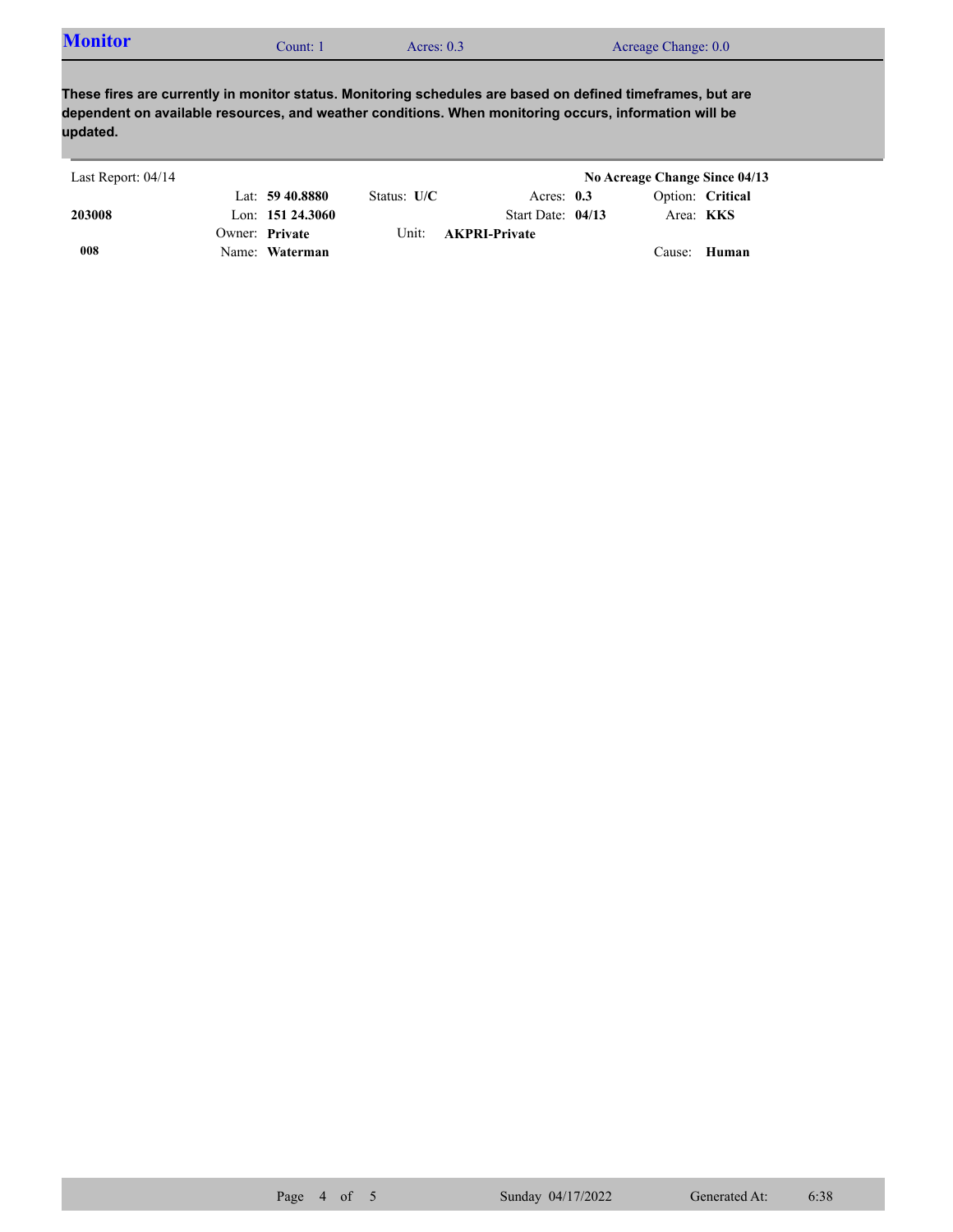| <b>Monitor</b><br>Acreage Change: 0.0<br>Acres: $0.3$<br>. :ount: |  |  |
|-------------------------------------------------------------------|--|--|
|-------------------------------------------------------------------|--|--|

**These fires are currently in monitor status. Monitoring schedules are based on defined timeframes, but are dependent on available resources, and weather conditions. When monitoring occurs, information will be updated.**

| Last Report: 04/14 |                     |               |                      | No Acreage Change Since 04/13 |  |
|--------------------|---------------------|---------------|----------------------|-------------------------------|--|
|                    | Lat: $59\,40.8880$  | Status: $U/C$ | Acres: $0.3$         | Option: Critical              |  |
| 203008             | Lon: $151\,24.3060$ |               | Start Date: $04/13$  | Area: <b>KKS</b>              |  |
|                    | Owner: Private      | Unit: -       | <b>AKPRI-Private</b> |                               |  |
| 008                | Name: Waterman      |               |                      | Cause: Human                  |  |